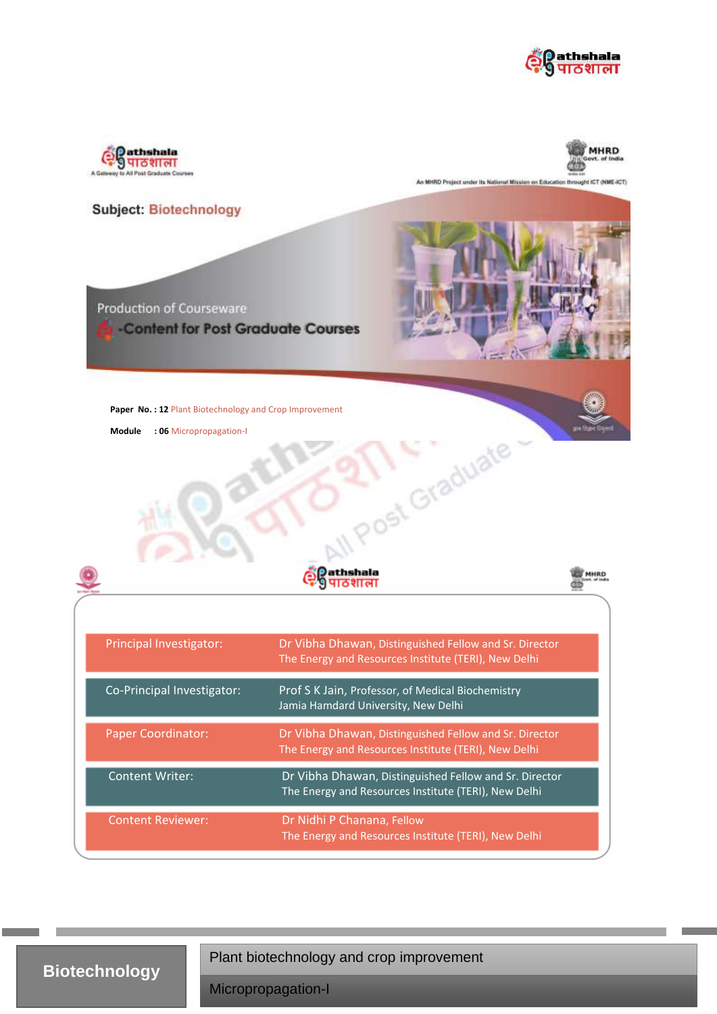





An MHRD Project under its National Mission on Education throught ICT (NME-ICT)



**Biotechnology**

Plant biotechnology and crop improvement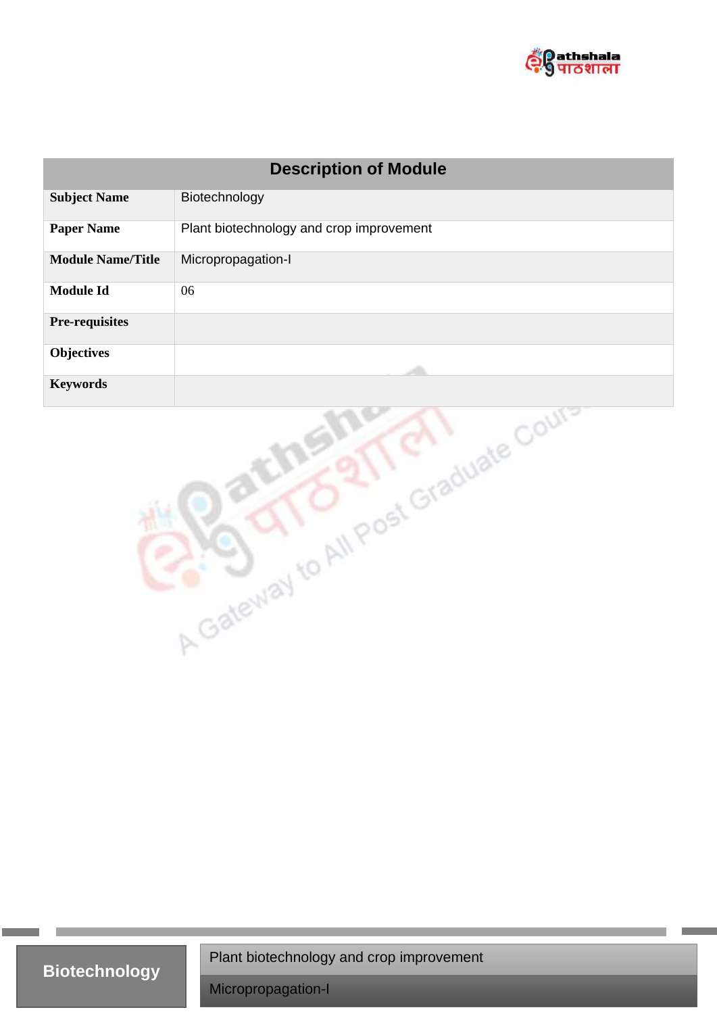

| <b>Description of Module</b>         |                                          |
|--------------------------------------|------------------------------------------|
| <b>Subject Name</b>                  | Biotechnology                            |
| <b>Paper Name</b>                    | Plant biotechnology and crop improvement |
| <b>Module Name/Title</b>             | Micropropagation-I                       |
| <b>Module Id</b>                     | 06                                       |
| <b>Pre-requisites</b>                |                                          |
| <b>Objectives</b>                    |                                          |
| <b>Keywords</b>                      |                                          |
| A Gateway to All Post Graduate Court |                                          |

**Biotechnology**

Plant biotechnology and crop improvement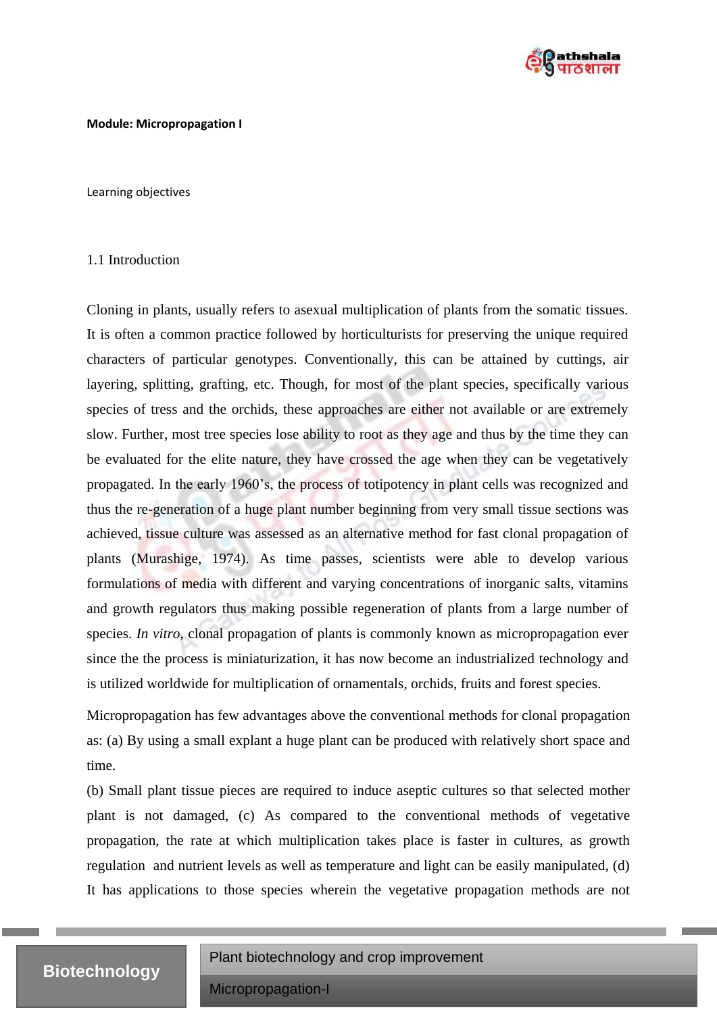

#### **Module: Micropropagation I**

Learning objectives

#### 1.1 Introduction

Cloning in plants, usually refers to asexual multiplication of plants from the somatic tissues. It is often a common practice followed by horticulturists for preserving the unique required characters of particular genotypes. Conventionally, this can be attained by cuttings, air layering, splitting, grafting, etc. Though, for most of the plant species, specifically various species of tress and the orchids, these approaches are either not available or are extremely slow. Further, most tree species lose ability to root as they age and thus by the time they can be evaluated for the elite nature, they have crossed the age when they can be vegetatively propagated. In the early 1960's, the process of totipotency in plant cells was recognized and thus the re-generation of a huge plant number beginning from very small tissue sections was achieved, tissue culture was assessed as an alternative method for fast clonal propagation of plants (Murashige, 1974). As time passes, scientists were able to develop various formulations of media with different and varying concentrations of inorganic salts, vitamins and growth regulators thus making possible regeneration of plants from a large number of species. *In vitro*, clonal propagation of plants is commonly known as micropropagation ever since the the process is miniaturization, it has now become an industrialized technology and is utilized worldwide for multiplication of ornamentals, orchids, fruits and forest species.

Micropropagation has few advantages above the conventional methods for clonal propagation as: (a) By using a small explant a huge plant can be produced with relatively short space and time.

(b) Small plant tissue pieces are required to induce aseptic cultures so that selected mother plant is not damaged, (c) As compared to the conventional methods of vegetative propagation, the rate at which multiplication takes place is faster in cultures, as growth regulation and nutrient levels as well as temperature and light can be easily manipulated, (d) It has applications to those species wherein the vegetative propagation methods are not

## **Biotechnology**

Plant biotechnology and crop improvement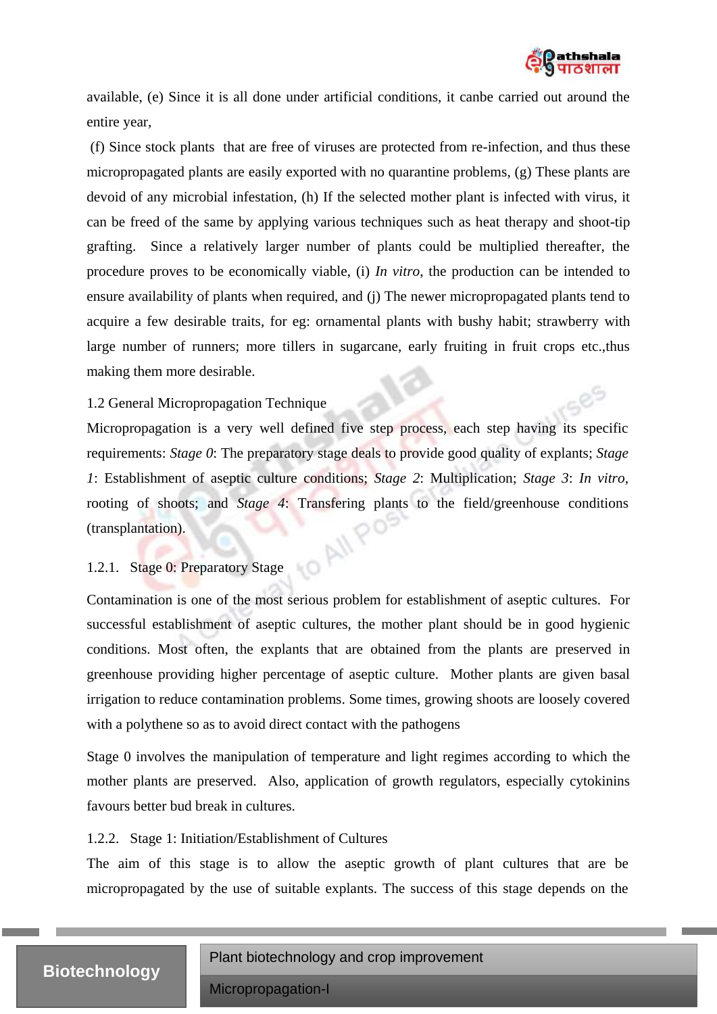

available, (e) Since it is all done under artificial conditions, it canbe carried out around the entire year,

(f) Since stock plants that are free of viruses are protected from re-infection, and thus these micropropagated plants are easily exported with no quarantine problems, (g) These plants are devoid of any microbial infestation, (h) If the selected mother plant is infected with virus, it can be freed of the same by applying various techniques such as heat therapy and shoot-tip grafting. Since a relatively larger number of plants could be multiplied thereafter, the procedure proves to be economically viable, (i) *In vitro*, the production can be intended to ensure availability of plants when required, and (j) The newer micropropagated plants tend to acquire a few desirable traits, for eg: ornamental plants with bushy habit; strawberry with large number of runners; more tillers in sugarcane, early fruiting in fruit crops etc.,thus making them more desirable.

#### 1.2 General Micropropagation Technique

Micropropagation is a very well defined five step process, each step having its specific requirements: *Stage 0*: The preparatory stage deals to provide good quality of explants; *Stage 1*: Establishment of aseptic culture conditions; *Stage 2*: Multiplication; *Stage 3*: *In vitro,* rooting of shoots; and *Stage 4*: Transfering plants to the field/greenhouse conditions (transplantation).<br>
1.2.1. Stage 0: Prenaratory <sup>C</sup>: (transplantation).

### 1.2.1. Stage 0: Preparatory Stage

Contamination is one of the most serious problem for establishment of aseptic cultures. For successful establishment of aseptic cultures, the mother plant should be in good hygienic conditions. Most often, the explants that are obtained from the plants are preserved in greenhouse providing higher percentage of aseptic culture. Mother plants are given basal irrigation to reduce contamination problems. Some times, growing shoots are loosely covered with a polythene so as to avoid direct contact with the pathogens

Stage 0 involves the manipulation of temperature and light regimes according to which the mother plants are preserved. Also, application of growth regulators, especially cytokinins favours better bud break in cultures.

#### 1.2.2. Stage 1: Initiation/Establishment of Cultures

The aim of this stage is to allow the aseptic growth of plant cultures that are be micropropagated by the use of suitable explants. The success of this stage depends on the

## **Biotechnology**

Plant biotechnology and crop improvement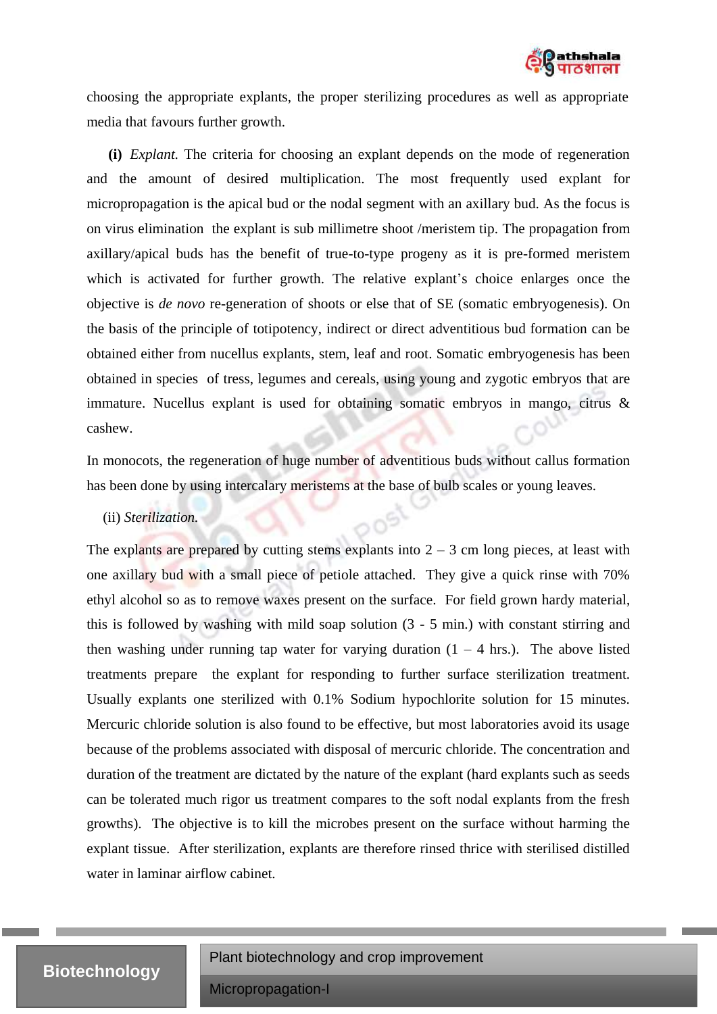

choosing the appropriate explants, the proper sterilizing procedures as well as appropriate media that favours further growth.

**(i)** *Explant.* The criteria for choosing an explant depends on the mode of regeneration and the amount of desired multiplication. The most frequently used explant for micropropagation is the apical bud or the nodal segment with an axillary bud. As the focus is on virus elimination the explant is sub millimetre shoot /meristem tip. The propagation from axillary/apical buds has the benefit of true-to-type progeny as it is pre-formed meristem which is activated for further growth. The relative explant's choice enlarges once the objective is *de novo* re-generation of shoots or else that of SE (somatic embryogenesis). On the basis of the principle of totipotency, indirect or direct adventitious bud formation can be obtained either from nucellus explants, stem, leaf and root. Somatic embryogenesis has been obtained in species of tress, legumes and cereals, using young and zygotic embryos that are immature. Nucellus explant is used for obtaining somatic embryos in mango, citrus & cashew.

In monocots, the regeneration of huge number of adventitious buds without callus formation has been done by using intercalary meristems at the base of bulb scales or young leaves.

#### (ii) *Sterilization.*

The explants are prepared by cutting stems explants into  $2 - 3$  cm long pieces, at least with one axillary bud with a small piece of petiole attached. They give a quick rinse with 70% ethyl alcohol so as to remove waxes present on the surface. For field grown hardy material, this is followed by washing with mild soap solution (3 - 5 min.) with constant stirring and then washing under running tap water for varying duration  $(1 - 4 \text{ hrs.})$ . The above listed treatments prepare the explant for responding to further surface sterilization treatment. Usually explants one sterilized with 0.1% Sodium hypochlorite solution for 15 minutes. Mercuric chloride solution is also found to be effective, but most laboratories avoid its usage because of the problems associated with disposal of mercuric chloride. The concentration and duration of the treatment are dictated by the nature of the explant (hard explants such as seeds can be tolerated much rigor us treatment compares to the soft nodal explants from the fresh growths). The objective is to kill the microbes present on the surface without harming the explant tissue. After sterilization, explants are therefore rinsed thrice with sterilised distilled water in laminar airflow cabinet.

## **Biotechnology**

Plant biotechnology and crop improvement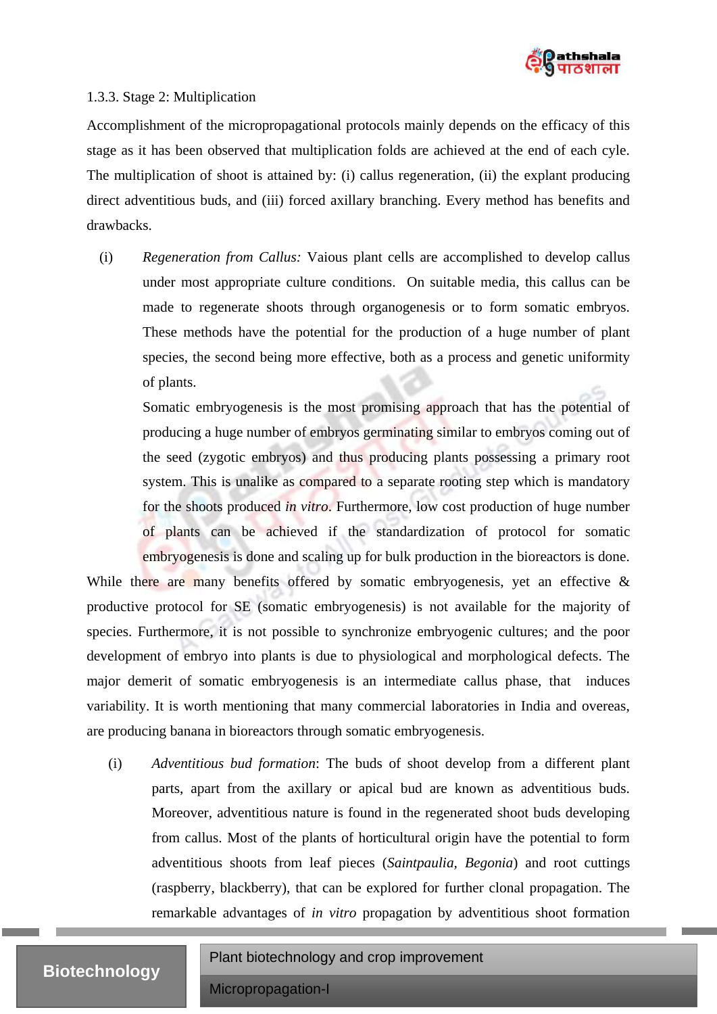

#### 1.3.3. Stage 2: Multiplication

Accomplishment of the micropropagational protocols mainly depends on the efficacy of this stage as it has been observed that multiplication folds are achieved at the end of each cyle. The multiplication of shoot is attained by: (i) callus regeneration, (ii) the explant producing direct adventitious buds, and (iii) forced axillary branching. Every method has benefits and drawbacks.

(i) *Regeneration from Callus:* Vaious plant cells are accomplished to develop callus under most appropriate culture conditions. On suitable media, this callus can be made to regenerate shoots through organogenesis or to form somatic embryos. These methods have the potential for the production of a huge number of plant species, the second being more effective, both as a process and genetic uniformity of plants.

Somatic embryogenesis is the most promising approach that has the potential of producing a huge number of embryos germinating similar to embryos coming out of the seed (zygotic embryos) and thus producing plants possessing a primary root system. This is unalike as compared to a separate rooting step which is mandatory for the shoots produced *in vitro*. Furthermore, low cost production of huge number of plants can be achieved if the standardization of protocol for somatic embryogenesis is done and scaling up for bulk production in the bioreactors is done.

While there are many benefits offered by somatic embryogenesis, yet an effective & productive protocol for SE (somatic embryogenesis) is not available for the majority of species. Furthermore, it is not possible to synchronize embryogenic cultures; and the poor development of embryo into plants is due to physiological and morphological defects. The major demerit of somatic embryogenesis is an intermediate callus phase, that induces variability. It is worth mentioning that many commercial laboratories in India and overeas, are producing banana in bioreactors through somatic embryogenesis.

(i) *Adventitious bud formation*: The buds of shoot develop from a different plant parts, apart from the axillary or apical bud are known as adventitious buds. Moreover, adventitious nature is found in the regenerated shoot buds developing from callus. Most of the plants of horticultural origin have the potential to form adventitious shoots from leaf pieces (*Saintpaulia, Begonia*) and root cuttings (raspberry, blackberry), that can be explored for further clonal propagation. The remarkable advantages of *in vitro* propagation by adventitious shoot formation

## **Biotechnology**

Plant biotechnology and crop improvement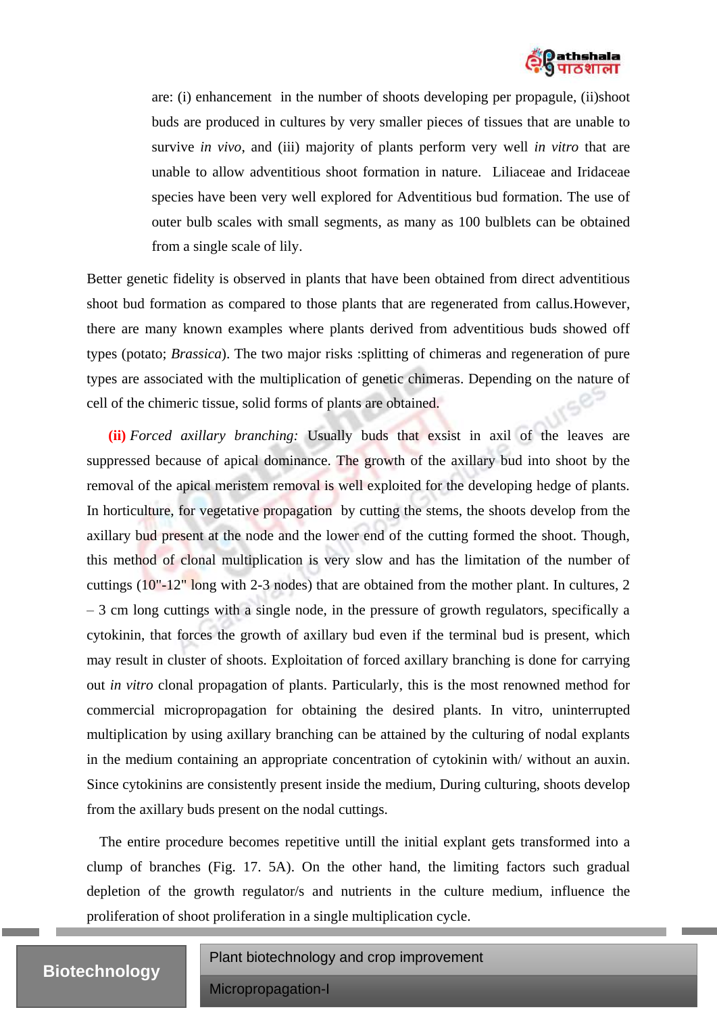

are: (i) enhancement in the number of shoots developing per propagule, (ii)shoot buds are produced in cultures by very smaller pieces of tissues that are unable to survive *in vivo*, and (iii) majority of plants perform very well *in vitro* that are unable to allow adventitious shoot formation in nature. Liliaceae and Iridaceae species have been very well explored for Adventitious bud formation. The use of outer bulb scales with small segments, as many as 100 bulblets can be obtained from a single scale of lily.

Better genetic fidelity is observed in plants that have been obtained from direct adventitious shoot bud formation as compared to those plants that are regenerated from callus.However, there are many known examples where plants derived from adventitious buds showed off types (potato; *Brassica*). The two major risks :splitting of chimeras and regeneration of pure types are associated with the multiplication of genetic chimeras. Depending on the nature of cell of the chimeric tissue, solid forms of plants are obtained.

**(ii)** *Forced axillary branching:* Usually buds that exsist in axil of the leaves are suppressed because of apical dominance. The growth of the axillary bud into shoot by the removal of the apical meristem removal is well exploited for the developing hedge of plants. In horticulture, for vegetative propagation by cutting the stems, the shoots develop from the axillary bud present at the node and the lower end of the cutting formed the shoot. Though, this method of clonal multiplication is very slow and has the limitation of the number of cuttings (10"-12" long with 2-3 nodes) that are obtained from the mother plant. In cultures, 2 – 3 cm long cuttings with a single node, in the pressure of growth regulators, specifically a cytokinin, that forces the growth of axillary bud even if the terminal bud is present, which may result in cluster of shoots. Exploitation of forced axillary branching is done for carrying out *in vitro* clonal propagation of plants. Particularly, this is the most renowned method for commercial micropropagation for obtaining the desired plants. In vitro, uninterrupted multiplication by using axillary branching can be attained by the culturing of nodal explants in the medium containing an appropriate concentration of cytokinin with/ without an auxin. Since cytokinins are consistently present inside the medium, During culturing, shoots develop from the axillary buds present on the nodal cuttings.

The entire procedure becomes repetitive untill the initial explant gets transformed into a clump of branches (Fig. 17. 5A). On the other hand, the limiting factors such gradual depletion of the growth regulator/s and nutrients in the culture medium, influence the proliferation of shoot proliferation in a single multiplication cycle.

# **Biotechnology**

Plant biotechnology and crop improvement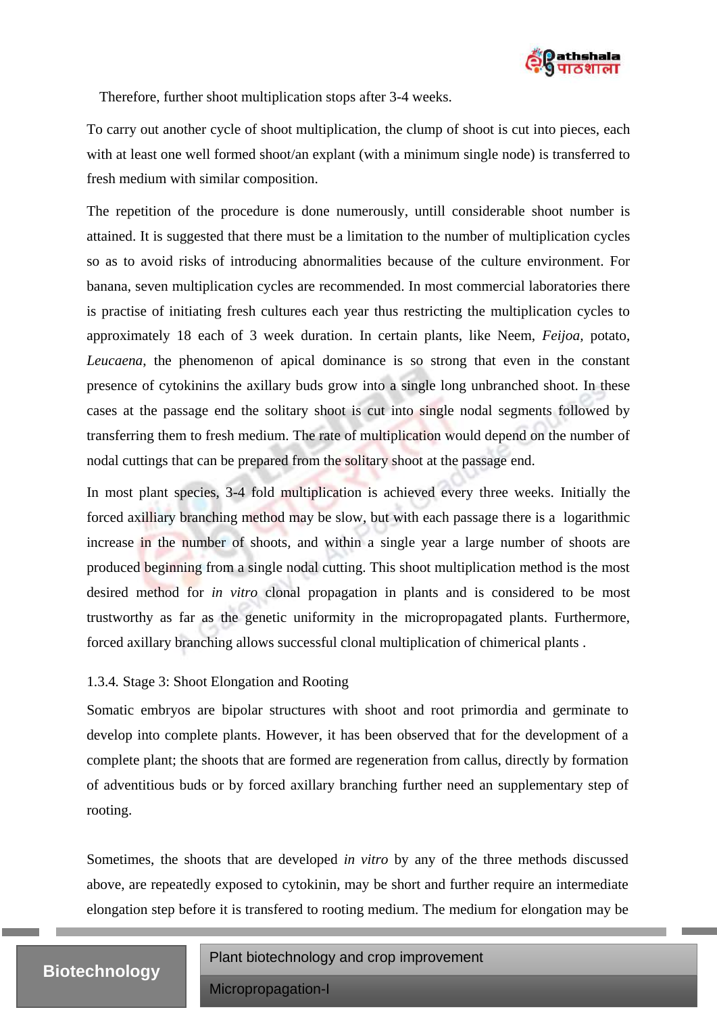

Therefore, further shoot multiplication stops after 3-4 weeks.

To carry out another cycle of shoot multiplication, the clump of shoot is cut into pieces, each with at least one well formed shoot/an explant (with a minimum single node) is transferred to fresh medium with similar composition.

The repetition of the procedure is done numerously, untill considerable shoot number is attained. It is suggested that there must be a limitation to the number of multiplication cycles so as to avoid risks of introducing abnormalities because of the culture environment. For banana, seven multiplication cycles are recommended. In most commercial laboratories there is practise of initiating fresh cultures each year thus restricting the multiplication cycles to approximately 18 each of 3 week duration. In certain plants, like Neem, *Feijoa,* potato, *Leucaena*, the phenomenon of apical dominance is so strong that even in the constant presence of cytokinins the axillary buds grow into a single long unbranched shoot. In these cases at the passage end the solitary shoot is cut into single nodal segments followed by transferring them to fresh medium. The rate of multiplication would depend on the number of nodal cuttings that can be prepared from the solitary shoot at the passage end.

In most plant species, 3-4 fold multiplication is achieved every three weeks. Initially the forced axilliary branching method may be slow, but with each passage there is a logarithmic increase in the number of shoots, and within a single year a large number of shoots are produced beginning from a single nodal cutting. This shoot multiplication method is the most desired method for *in vitro* clonal propagation in plants and is considered to be most trustworthy as far as the genetic uniformity in the micropropagated plants. Furthermore, forced axillary branching allows successful clonal multiplication of chimerical plants .

### 1.3.4*.* Stage 3: Shoot Elongation and Rooting

Somatic embryos are bipolar structures with shoot and root primordia and germinate to develop into complete plants. However, it has been observed that for the development of a complete plant; the shoots that are formed are regeneration from callus, directly by formation of adventitious buds or by forced axillary branching further need an supplementary step of rooting.

Sometimes, the shoots that are developed *in vitro* by any of the three methods discussed above, are repeatedly exposed to cytokinin, may be short and further require an intermediate elongation step before it is transfered to rooting medium. The medium for elongation may be

#### Plant biotechnology and crop improvement

# **Biotechnology**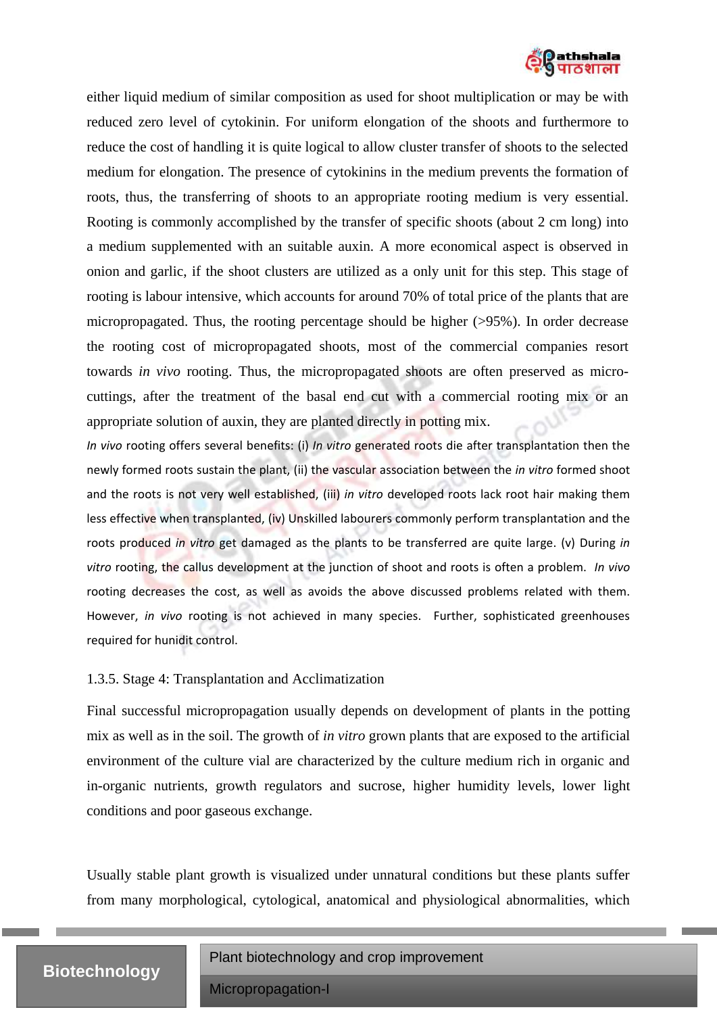

either liquid medium of similar composition as used for shoot multiplication or may be with reduced zero level of cytokinin. For uniform elongation of the shoots and furthermore to reduce the cost of handling it is quite logical to allow cluster transfer of shoots to the selected medium for elongation. The presence of cytokinins in the medium prevents the formation of roots, thus, the transferring of shoots to an appropriate rooting medium is very essential. Rooting is commonly accomplished by the transfer of specific shoots (about 2 cm long) into a medium supplemented with an suitable auxin. A more economical aspect is observed in onion and garlic, if the shoot clusters are utilized as a only unit for this step. This stage of rooting is labour intensive, which accounts for around 70% of total price of the plants that are micropropagated. Thus, the rooting percentage should be higher (>95%). In order decrease the rooting cost of micropropagated shoots, most of the commercial companies resort towards *in vivo* rooting. Thus, the micropropagated shoots are often preserved as microcuttings, after the treatment of the basal end cut with a commercial rooting mix or an appropriate solution of auxin, they are planted directly in potting mix.

*In vivo* rooting offers several benefits: (i) *In vitro* generated roots die after transplantation then the newly formed roots sustain the plant, (ii) the vascular association between the *in vitro* formed shoot and the roots is not very well established, (iii) *in vitro* developed roots lack root hair making them less effective when transplanted, (iv) Unskilled labourers commonly perform transplantation and the roots produced *in vitro* get damaged as the plants to be transferred are quite large. (v) During *in vitro* rooting, the callus development at the junction of shoot and roots is often a problem. *In vivo* rooting decreases the cost, as well as avoids the above discussed problems related with them. However, *in vivo* rooting is not achieved in many species. Further, sophisticated greenhouses required for hunidit control.

#### 1.3.5. Stage 4: Transplantation and Acclimatization

Final successful micropropagation usually depends on development of plants in the potting mix as well as in the soil. The growth of *in vitro* grown plants that are exposed to the artificial environment of the culture vial are characterized by the culture medium rich in organic and in-organic nutrients, growth regulators and sucrose, higher humidity levels, lower light conditions and poor gaseous exchange.

Usually stable plant growth is visualized under unnatural conditions but these plants suffer from many morphological, cytological, anatomical and physiological abnormalities, which

## **Biotechnology**

Plant biotechnology and crop improvement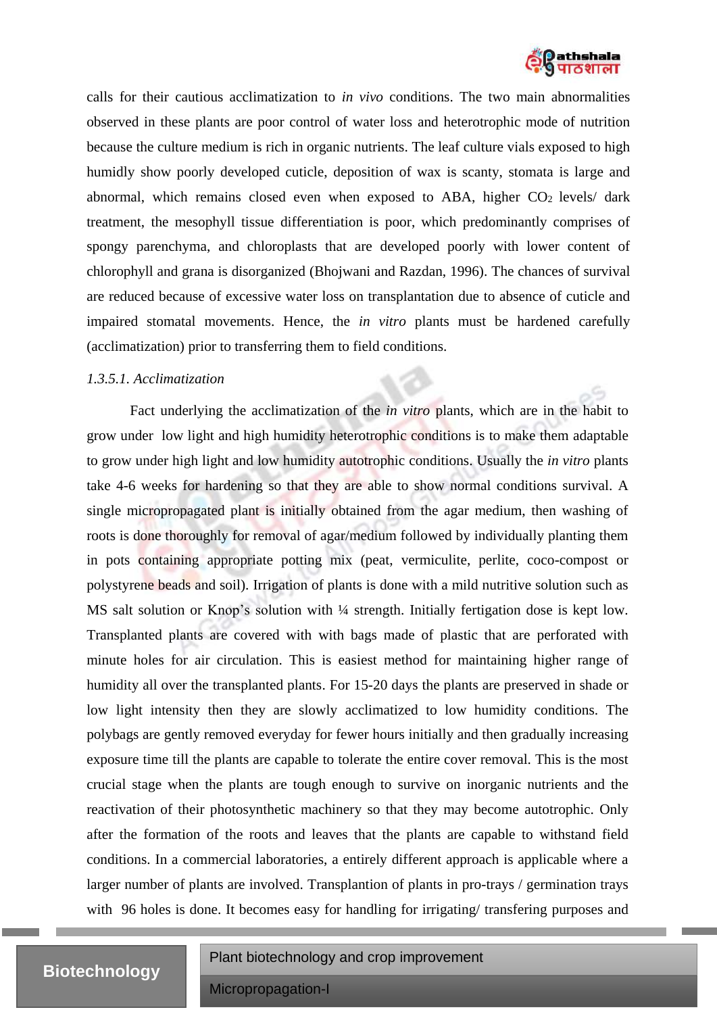

calls for their cautious acclimatization to *in vivo* conditions. The two main abnormalities observed in these plants are poor control of water loss and heterotrophic mode of nutrition because the culture medium is rich in organic nutrients. The leaf culture vials exposed to high humidly show poorly developed cuticle, deposition of wax is scanty, stomata is large and abnormal, which remains closed even when exposed to ABA, higher  $CO<sub>2</sub>$  levels/ dark treatment, the mesophyll tissue differentiation is poor, which predominantly comprises of spongy parenchyma, and chloroplasts that are developed poorly with lower content of chlorophyll and grana is disorganized (Bhojwani and Razdan, 1996). The chances of survival are reduced because of excessive water loss on transplantation due to absence of cuticle and impaired stomatal movements. Hence, the *in vitro* plants must be hardened carefully (acclimatization) prior to transferring them to field conditions.

#### *1.3.5.1. Acclimatization*

Fact underlying the acclimatization of the *in vitro* plants, which are in the habit to grow under low light and high humidity heterotrophic conditions is to make them adaptable to grow under high light and low humidity autotrophic conditions. Usually the *in vitro* plants take 4-6 weeks for hardening so that they are able to show normal conditions survival. A single micropropagated plant is initially obtained from the agar medium, then washing of roots is done thoroughly for removal of agar/medium followed by individually planting them in pots containing appropriate potting mix (peat, vermiculite, perlite, coco-compost or polystyrene beads and soil). Irrigation of plants is done with a mild nutritive solution such as MS salt solution or Knop's solution with  $\frac{1}{4}$  strength. Initially fertigation dose is kept low. Transplanted plants are covered with with bags made of plastic that are perforated with minute holes for air circulation. This is easiest method for maintaining higher range of humidity all over the transplanted plants. For 15-20 days the plants are preserved in shade or low light intensity then they are slowly acclimatized to low humidity conditions. The polybags are gently removed everyday for fewer hours initially and then gradually increasing exposure time till the plants are capable to tolerate the entire cover removal. This is the most crucial stage when the plants are tough enough to survive on inorganic nutrients and the reactivation of their photosynthetic machinery so that they may become autotrophic. Only after the formation of the roots and leaves that the plants are capable to withstand field conditions. In a commercial laboratories, a entirely different approach is applicable where a larger number of plants are involved. Transplantion of plants in pro-trays / germination trays with 96 holes is done. It becomes easy for handling for irrigating/ transfering purposes and

## **Biotechnology**

Plant biotechnology and crop improvement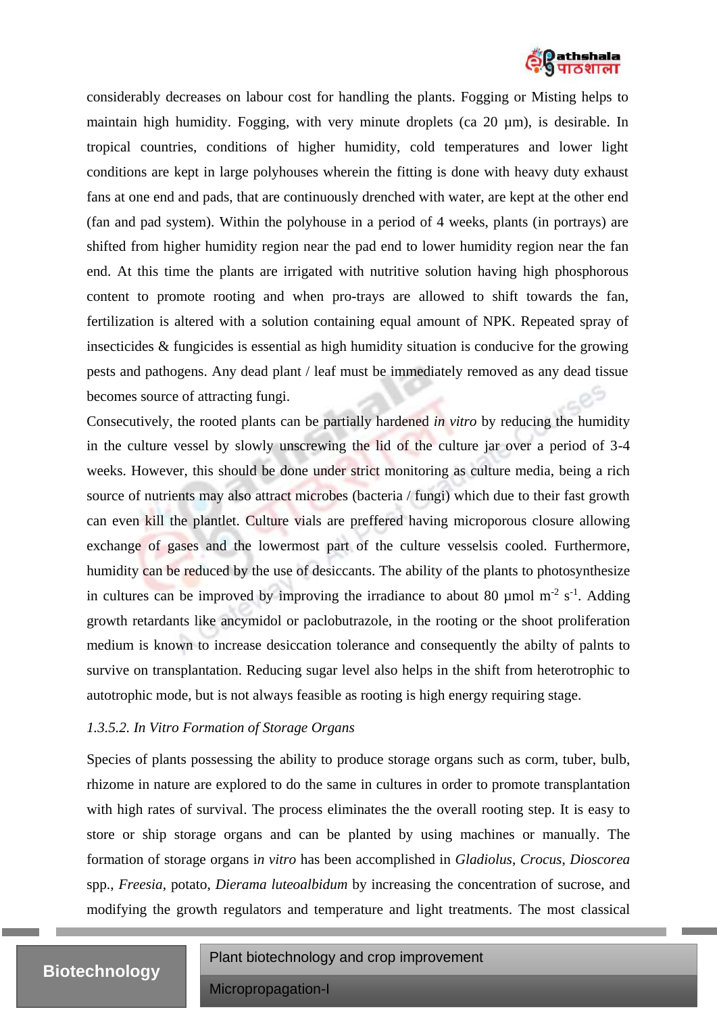

considerably decreases on labour cost for handling the plants. Fogging or Misting helps to maintain high humidity. Fogging, with very minute droplets (ca 20 µm), is desirable. In tropical countries, conditions of higher humidity, cold temperatures and lower light conditions are kept in large polyhouses wherein the fitting is done with heavy duty exhaust fans at one end and pads, that are continuously drenched with water, are kept at the other end (fan and pad system). Within the polyhouse in a period of 4 weeks, plants (in portrays) are shifted from higher humidity region near the pad end to lower humidity region near the fan end. At this time the plants are irrigated with nutritive solution having high phosphorous content to promote rooting and when pro-trays are allowed to shift towards the fan, fertilization is altered with a solution containing equal amount of NPK. Repeated spray of insecticides & fungicides is essential as high humidity situation is conducive for the growing pests and pathogens. Any dead plant / leaf must be immediately removed as any dead tissue becomes source of attracting fungi.

Consecutively, the rooted plants can be partially hardened *in vitro* by reducing the humidity in the culture vessel by slowly unscrewing the lid of the culture jar over a period of 3-4 weeks. However, this should be done under strict monitoring as culture media, being a rich source of nutrients may also attract microbes (bacteria / fungi) which due to their fast growth can even kill the plantlet. Culture vials are preffered having microporous closure allowing exchange of gases and the lowermost part of the culture vesselsis cooled. Furthermore, humidity can be reduced by the use of desiccants. The ability of the plants to photosynthesize in cultures can be improved by improving the irradiance to about 80  $\mu$ mol m<sup>-2</sup> s<sup>-1</sup>. Adding growth retardants like ancymidol or paclobutrazole, in the rooting or the shoot proliferation medium is known to increase desiccation tolerance and consequently the abilty of palnts to survive on transplantation. Reducing sugar level also helps in the shift from heterotrophic to autotrophic mode, but is not always feasible as rooting is high energy requiring stage.

#### *1.3.5.2. In Vitro Formation of Storage Organs*

Species of plants possessing the ability to produce storage organs such as corm, tuber, bulb, rhizome in nature are explored to do the same in cultures in order to promote transplantation with high rates of survival. The process eliminates the the overall rooting step. It is easy to store or ship storage organs and can be planted by using machines or manually. The formation of storage organs i*n vitro* has been accomplished in *Gladiolus*, *Crocus*, *Dioscorea* spp., *Freesia*, potato, *Dierama luteoalbidum* by increasing the concentration of sucrose, and modifying the growth regulators and temperature and light treatments. The most classical

## **Biotechnology**

Plant biotechnology and crop improvement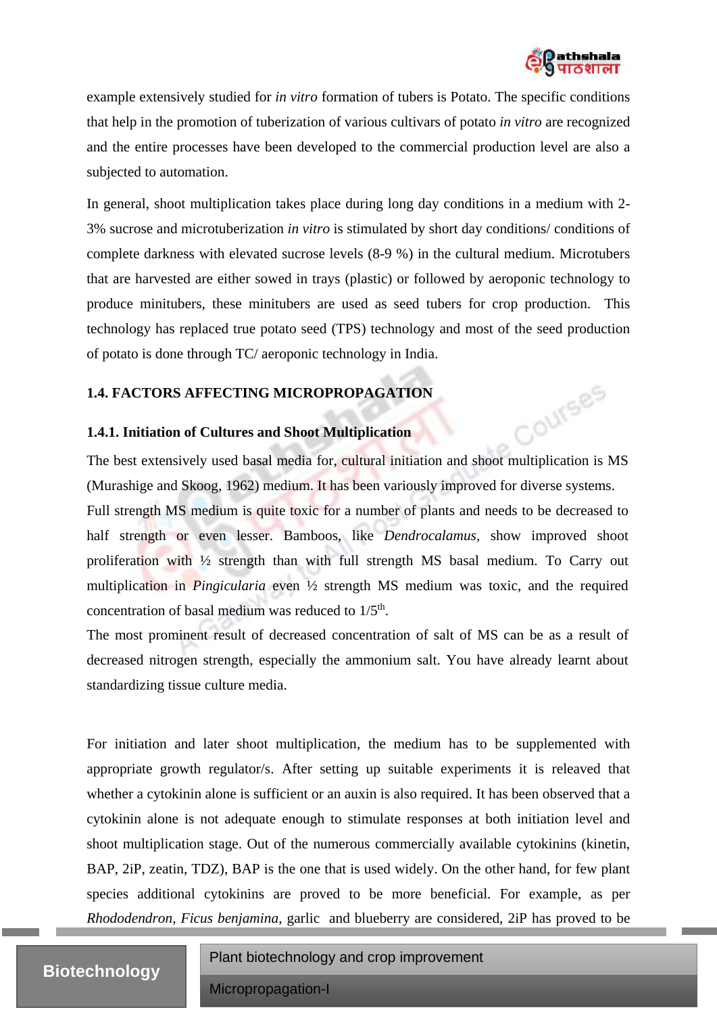

Courses

example extensively studied for *in vitro* formation of tubers is Potato. The specific conditions that help in the promotion of tuberization of various cultivars of potato *in vitro* are recognized and the entire processes have been developed to the commercial production level are also a subjected to automation.

In general, shoot multiplication takes place during long day conditions in a medium with 2- 3% sucrose and microtuberization *in vitro* is stimulated by short day conditions/ conditions of complete darkness with elevated sucrose levels (8-9 %) in the cultural medium. Microtubers that are harvested are either sowed in trays (plastic) or followed by aeroponic technology to produce minitubers, these minitubers are used as seed tubers for crop production. This technology has replaced true potato seed (TPS) technology and most of the seed production of potato is done through TC/ aeroponic technology in India.

### **1.4. FACTORS AFFECTING MICROPROPAGATION**

### **1.4.1. Initiation of Cultures and Shoot Multiplication**

The best extensively used basal media for, cultural initiation and shoot multiplication is MS (Murashige and Skoog, 1962) medium. It has been variously improved for diverse systems.

Full strength MS medium is quite toxic for a number of plants and needs to be decreased to half strength or even lesser. Bamboos, like *Dendrocalamus,* show improved shoot proliferation with ½ strength than with full strength MS basal medium. To Carry out multiplication in *Pingicularia* even ½ strength MS medium was toxic, and the required concentration of basal medium was reduced to  $1/5<sup>th</sup>$ .

The most prominent result of decreased concentration of salt of MS can be as a result of decreased nitrogen strength, especially the ammonium salt. You have already learnt about standardizing tissue culture media.

For initiation and later shoot multiplication, the medium has to be supplemented with appropriate growth regulator/s. After setting up suitable experiments it is releaved that whether a cytokinin alone is sufficient or an auxin is also required. It has been observed that a cytokinin alone is not adequate enough to stimulate responses at both initiation level and shoot multiplication stage. Out of the numerous commercially available cytokinins (kinetin, BAP, 2iP, zeatin, TDZ), BAP is the one that is used widely. On the other hand, for few plant species additional cytokinins are proved to be more beneficial. For example, as per *Rhododendron*, *Ficus benjamina*, garlic and blueberry are considered, 2iP has proved to be

Plant biotechnology and crop improvement

# **Biotechnology**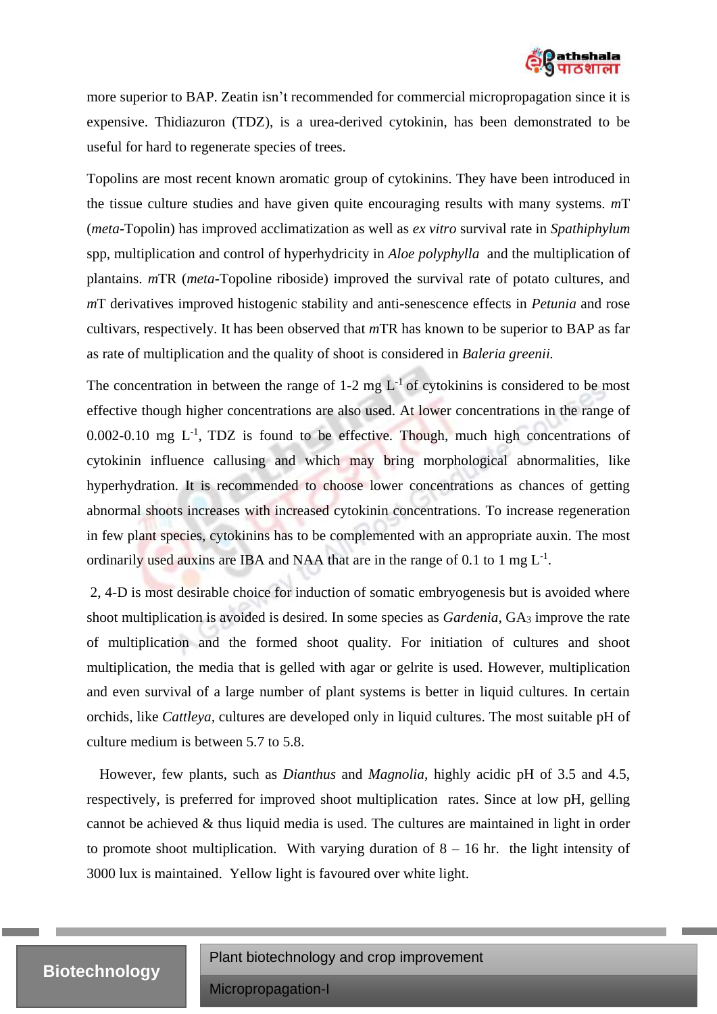

more superior to BAP. Zeatin isn't recommended for commercial micropropagation since it is expensive. Thidiazuron (TDZ), is a urea-derived cytokinin, has been demonstrated to be useful for hard to regenerate species of trees.

Topolins are most recent known aromatic group of cytokinins. They have been introduced in the tissue culture studies and have given quite encouraging results with many systems. *m*T (*meta*-Topolin) has improved acclimatization as well as *ex vitro* survival rate in *Spathiphylum* spp, multiplication and control of hyperhydricity in *Aloe polyphylla* and the multiplication of plantains. *m*TR (*meta*-Topoline riboside) improved the survival rate of potato cultures, and *m*T derivatives improved histogenic stability and anti-senescence effects in *Petunia* and rose cultivars, respectively. It has been observed that *m*TR has known to be superior to BAP as far as rate of multiplication and the quality of shoot is considered in *Baleria greenii.*

The concentration in between the range of 1-2 mg  $L^{-1}$  of cytokinins is considered to be most effective though higher concentrations are also used. At lower concentrations in the range of  $0.002$ - $0.10$  mg  $L^{-1}$ , TDZ is found to be effective. Though, much high concentrations of cytokinin influence callusing and which may bring morphological abnormalities, like hyperhydration. It is recommended to choose lower concentrations as chances of getting abnormal shoots increases with increased cytokinin concentrations. To increase regeneration in few plant species, cytokinins has to be complemented with an appropriate auxin. The most ordinarily used auxins are IBA and NAA that are in the range of 0.1 to 1 mg  $L^{-1}$ .

2, 4-D is most desirable choice for induction of somatic embryogenesis but is avoided where shoot multiplication is avoided is desired. In some species as *Gardenia,* GA<sup>3</sup> improve the rate of multiplication and the formed shoot quality. For initiation of cultures and shoot multiplication, the media that is gelled with agar or gelrite is used. However, multiplication and even survival of a large number of plant systems is better in liquid cultures. In certain orchids, like *Cattleya,* cultures are developed only in liquid cultures. The most suitable pH of culture medium is between 5.7 to 5.8.

However, few plants, such as *Dianthus* and *Magnolia,* highly acidic pH of 3.5 and 4.5, respectively, is preferred for improved shoot multiplication rates. Since at low pH, gelling cannot be achieved & thus liquid media is used. The cultures are maintained in light in order to promote shoot multiplication. With varying duration of  $8 - 16$  hr. the light intensity of 3000 lux is maintained. Yellow light is favoured over white light.

## **Biotechnology**

Plant biotechnology and crop improvement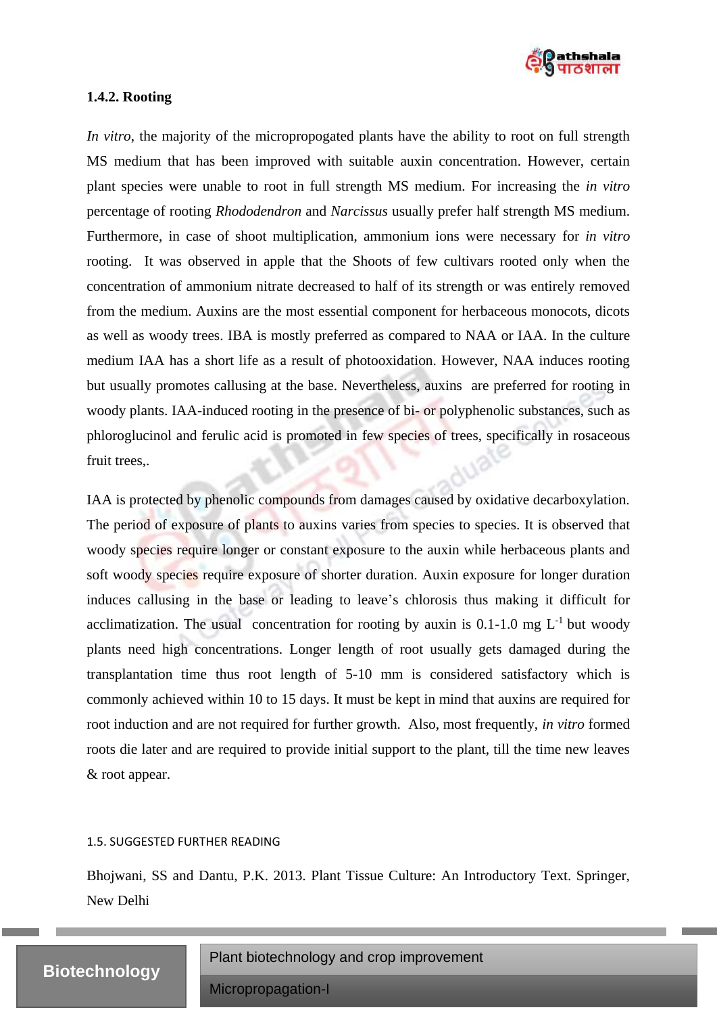

#### **1.4.2. Rooting**

*In vitro*, the majority of the micropropogated plants have the ability to root on full strength MS medium that has been improved with suitable auxin concentration. However, certain plant species were unable to root in full strength MS medium. For increasing the *in vitro* percentage of rooting *Rhododendron* and *Narcissus* usually prefer half strength MS medium. Furthermore, in case of shoot multiplication, ammonium ions were necessary for *in vitro* rooting. It was observed in apple that the Shoots of few cultivars rooted only when the concentration of ammonium nitrate decreased to half of its strength or was entirely removed from the medium. Auxins are the most essential component for herbaceous monocots, dicots as well as woody trees. IBA is mostly preferred as compared to NAA or IAA. In the culture medium IAA has a short life as a result of photooxidation. However, NAA induces rooting but usually promotes callusing at the base. Nevertheless, auxins are preferred for rooting in woody plants. IAA-induced rooting in the presence of bi- or polyphenolic substances, such as phloroglucinol and ferulic acid is promoted in few species of trees, specifically in rosaceous fruit trees,.

IAA is protected by phenolic compounds from damages caused by oxidative decarboxylation. The period of exposure of plants to auxins varies from species to species. It is observed that woody species require longer or constant exposure to the auxin while herbaceous plants and soft woody species require exposure of shorter duration. Auxin exposure for longer duration induces callusing in the base or leading to leave's chlorosis thus making it difficult for acclimatization. The usual concentration for rooting by auxin is  $0.1$ -1.0 mg L<sup>-1</sup> but woody plants need high concentrations. Longer length of root usually gets damaged during the transplantation time thus root length of 5-10 mm is considered satisfactory which is commonly achieved within 10 to 15 days. It must be kept in mind that auxins are required for root induction and are not required for further growth. Also, most frequently, *in vitro* formed roots die later and are required to provide initial support to the plant, till the time new leaves & root appear.

#### 1.5. SUGGESTED FURTHER READING

Bhojwani, SS and Dantu, P.K. 2013. Plant Tissue Culture: An Introductory Text. Springer, New Delhi

## **Biotechnology**

Plant biotechnology and crop improvement